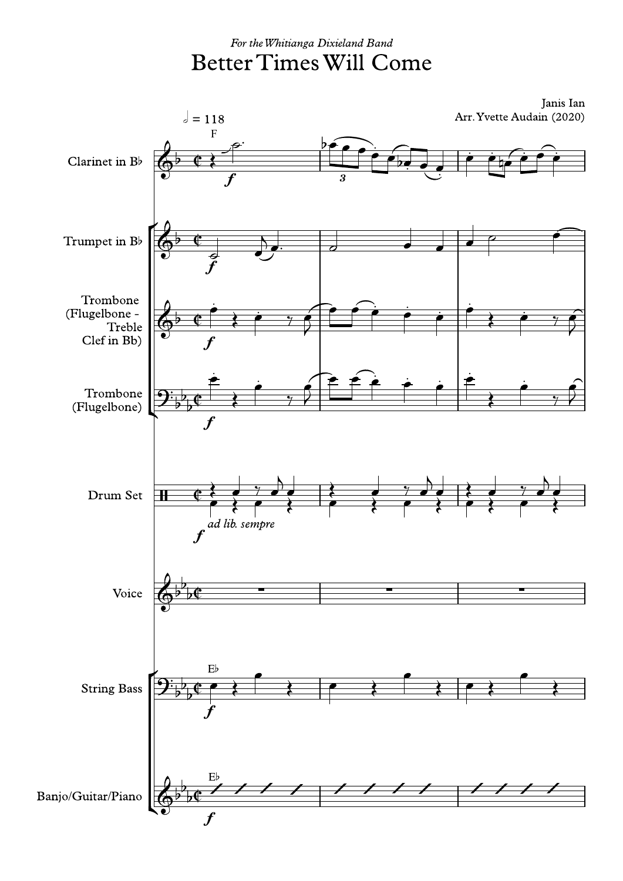## For the Whitianga Dixieland Band **Better Times Will Come**

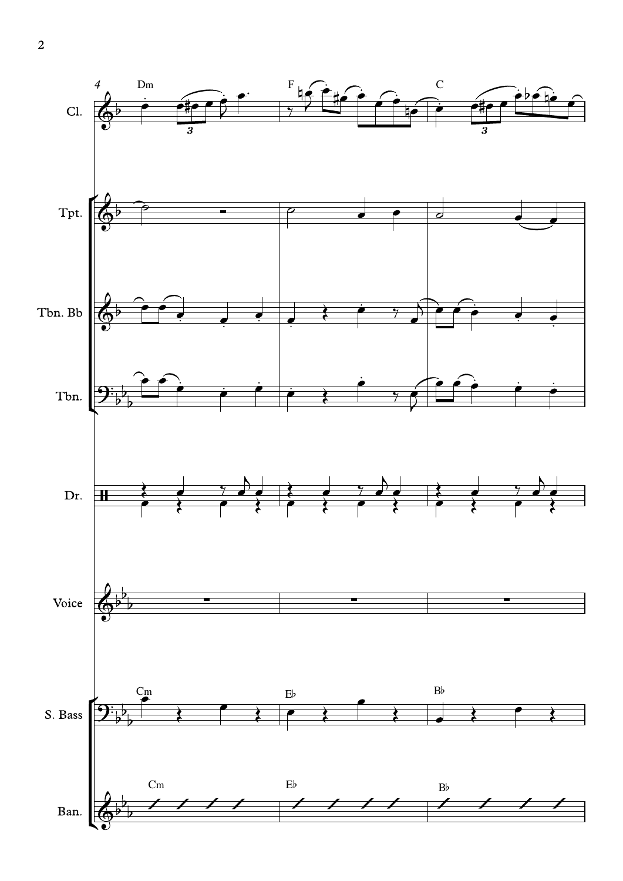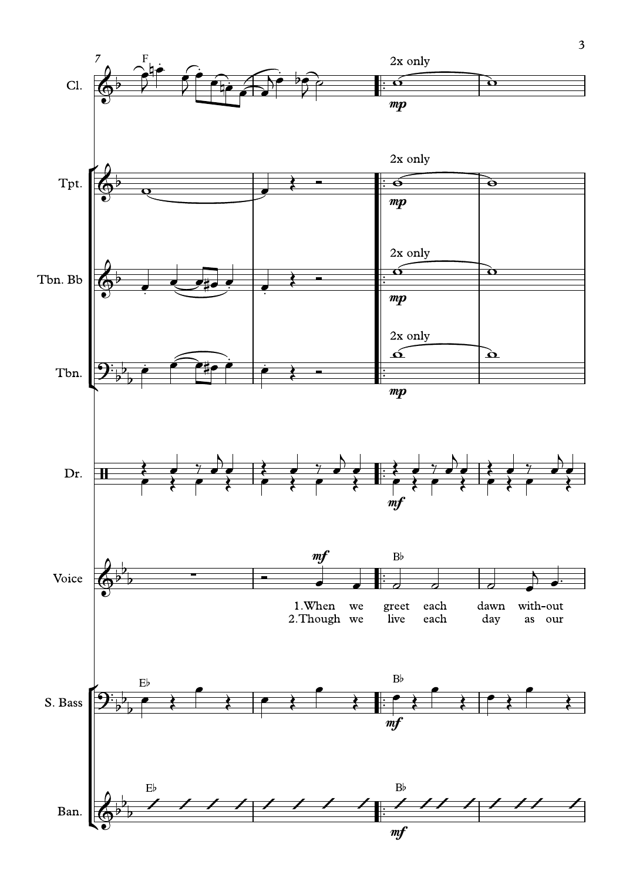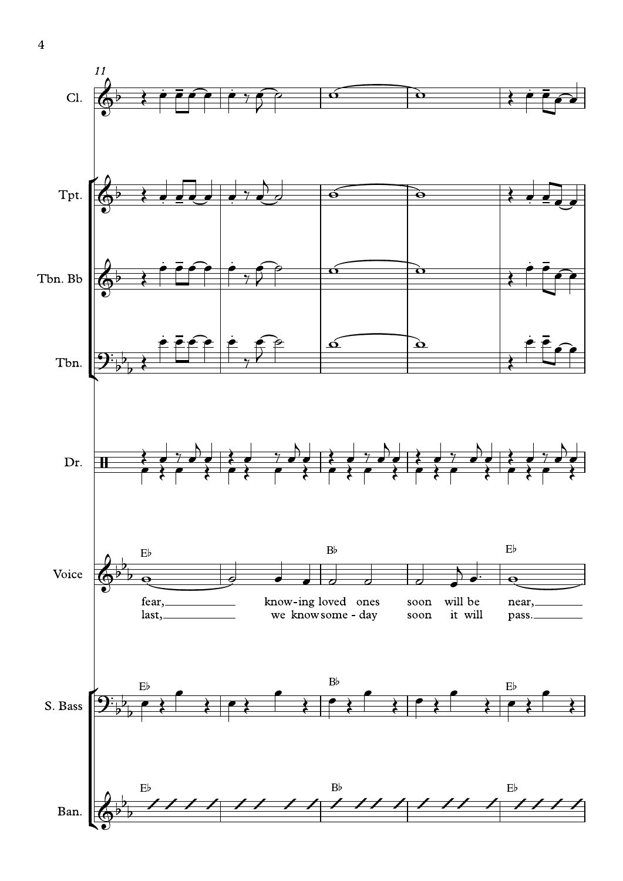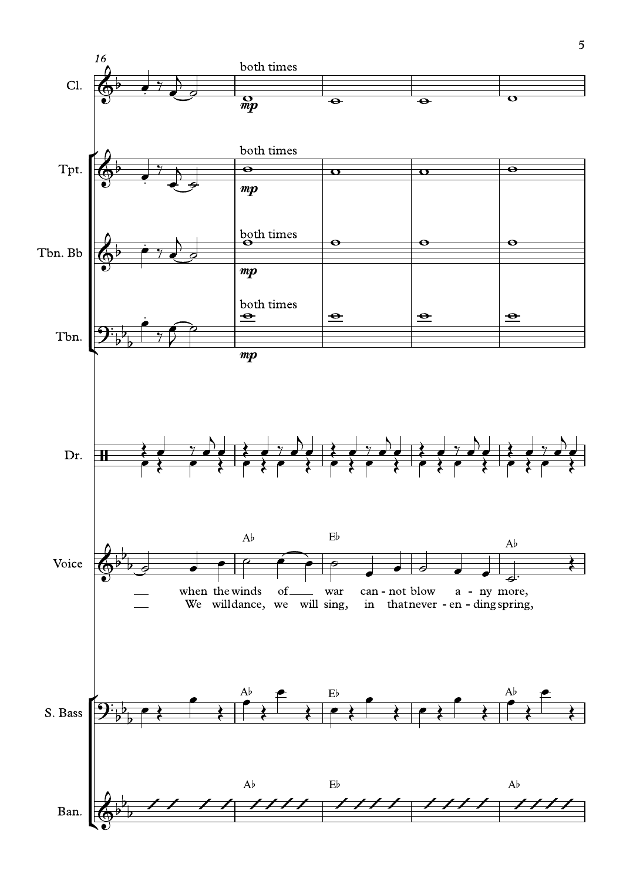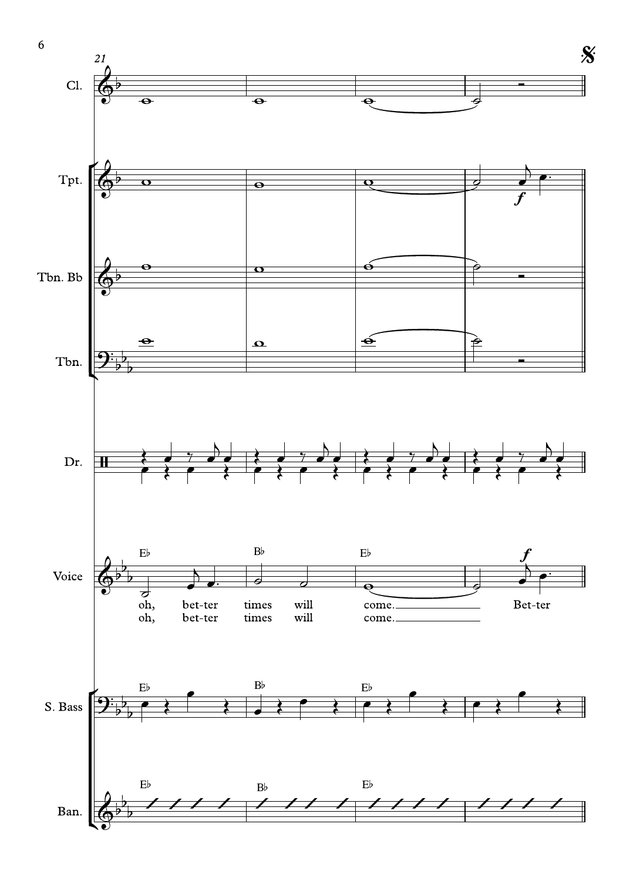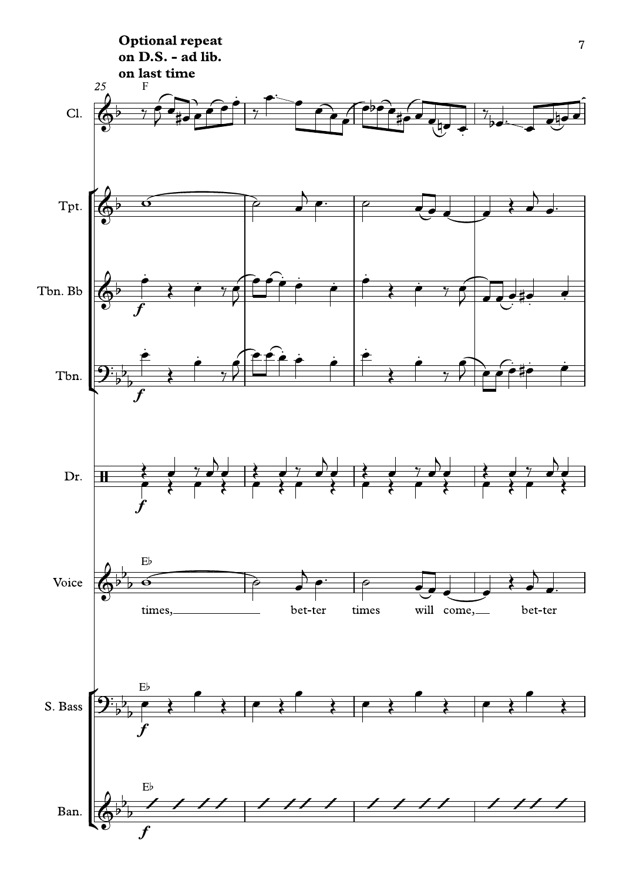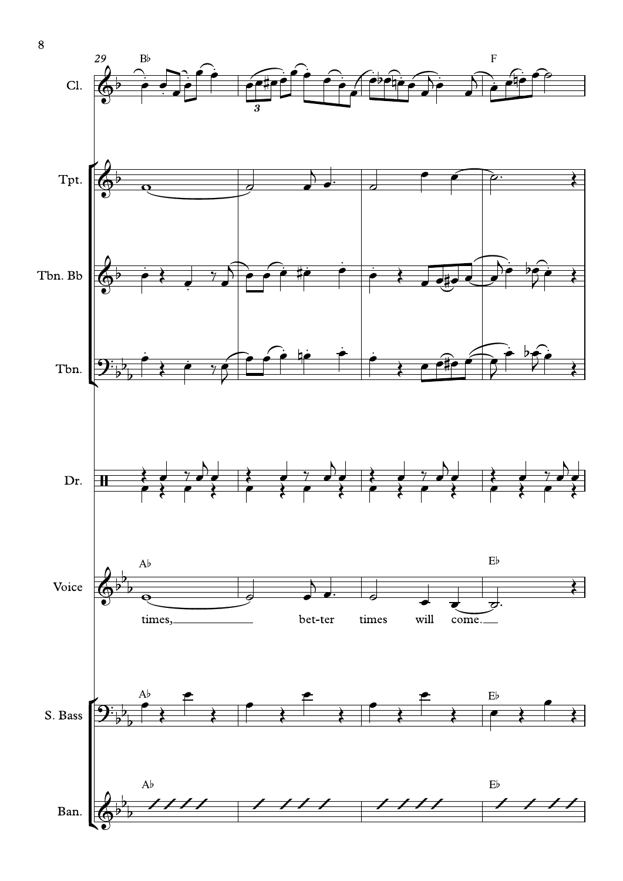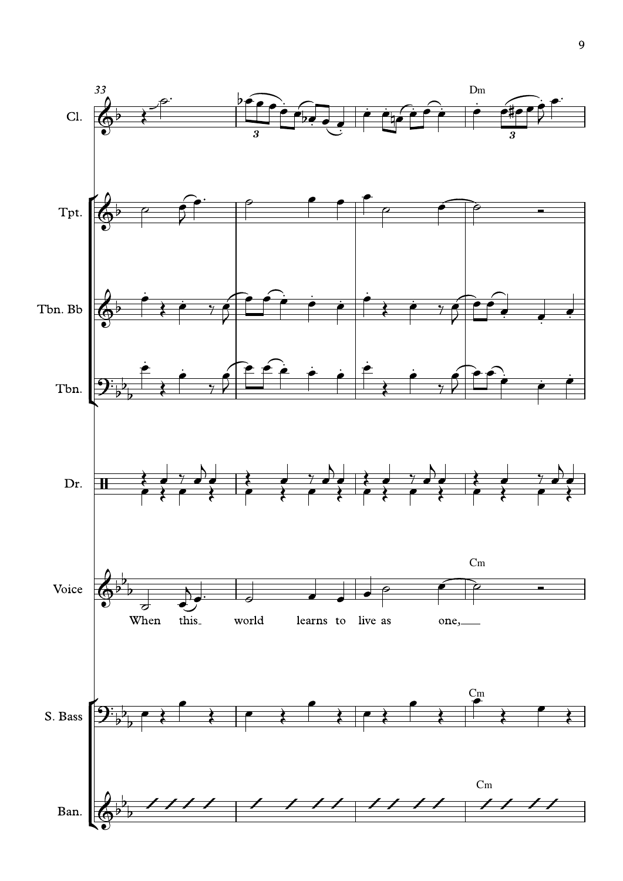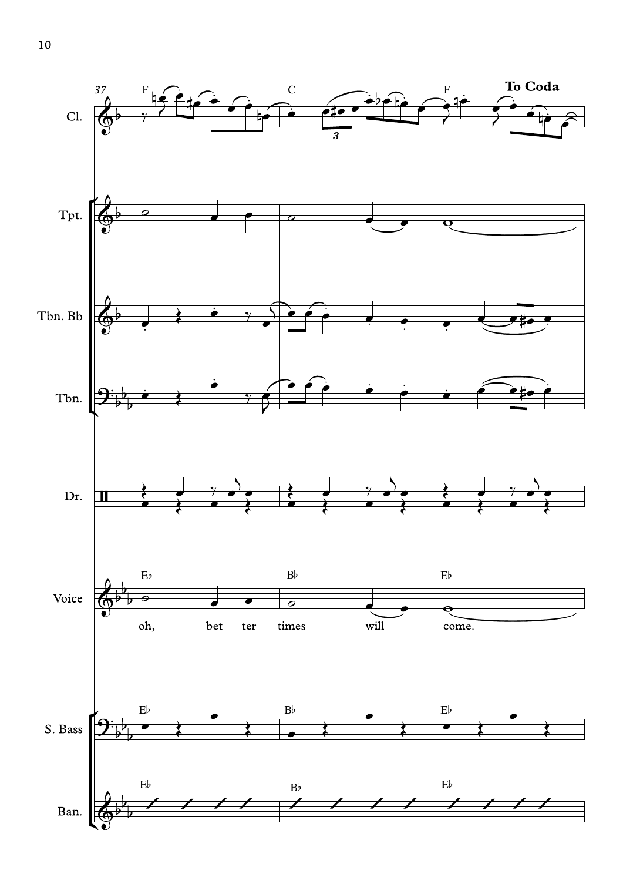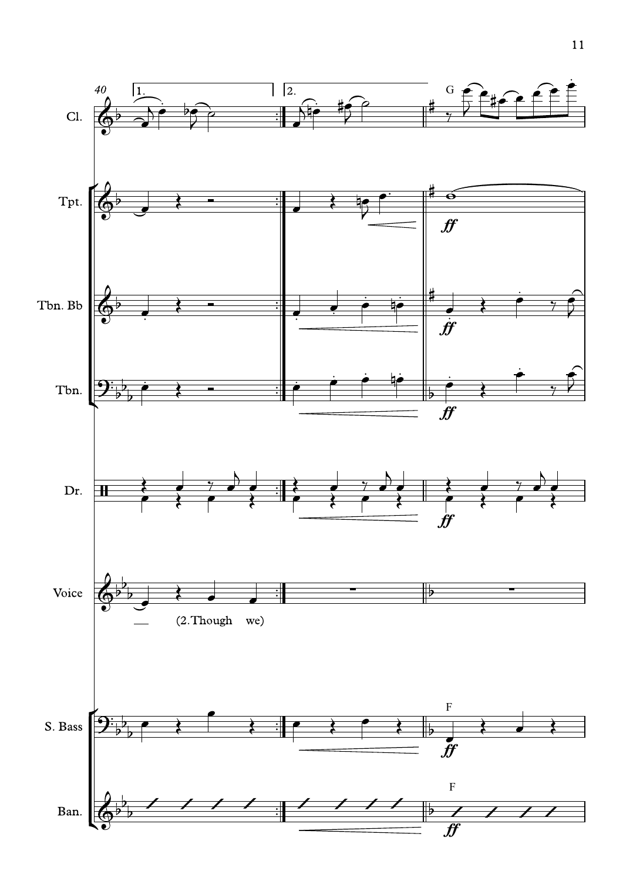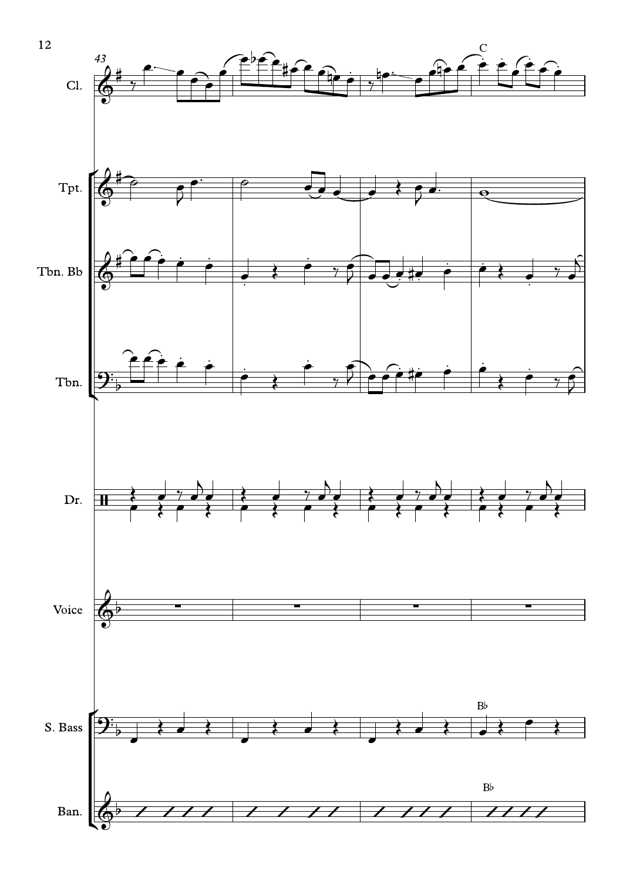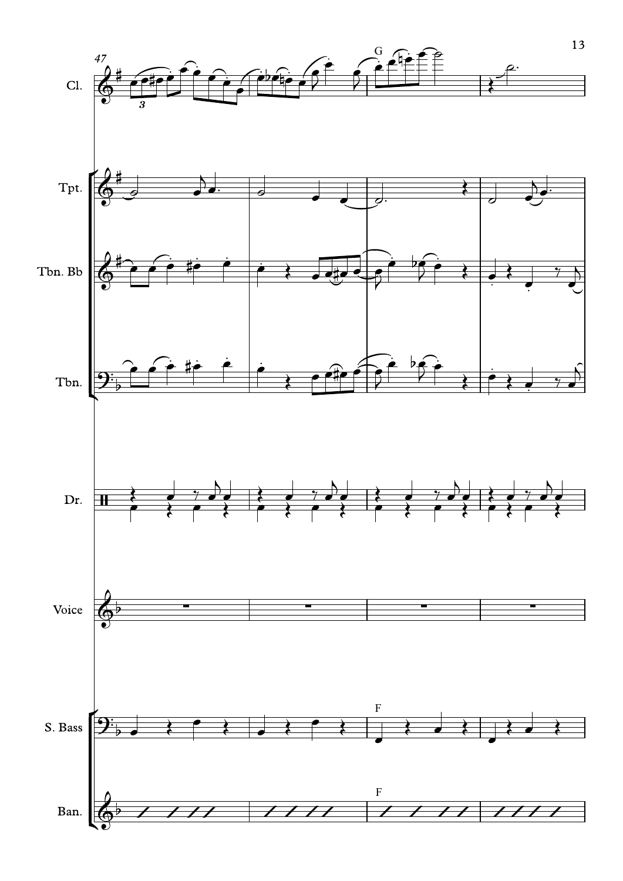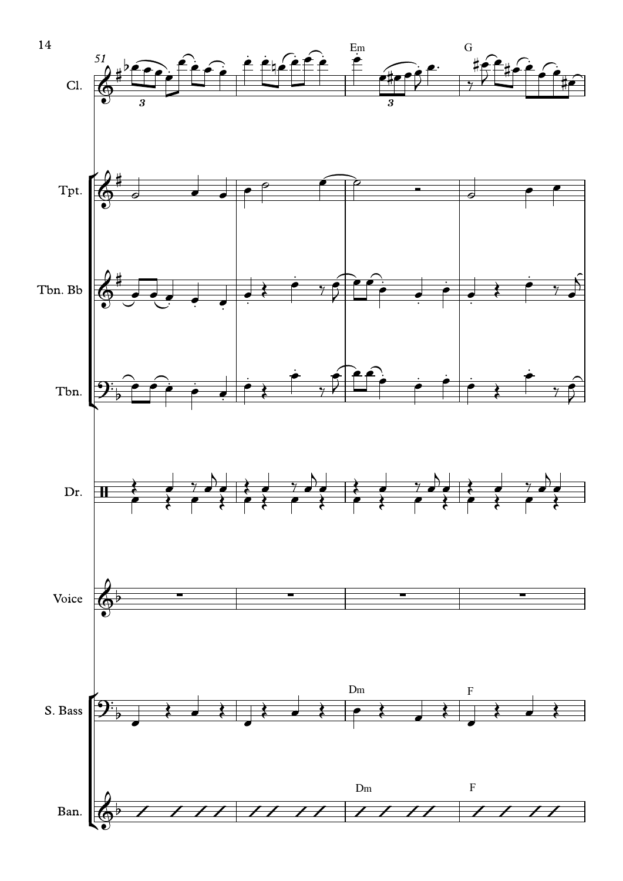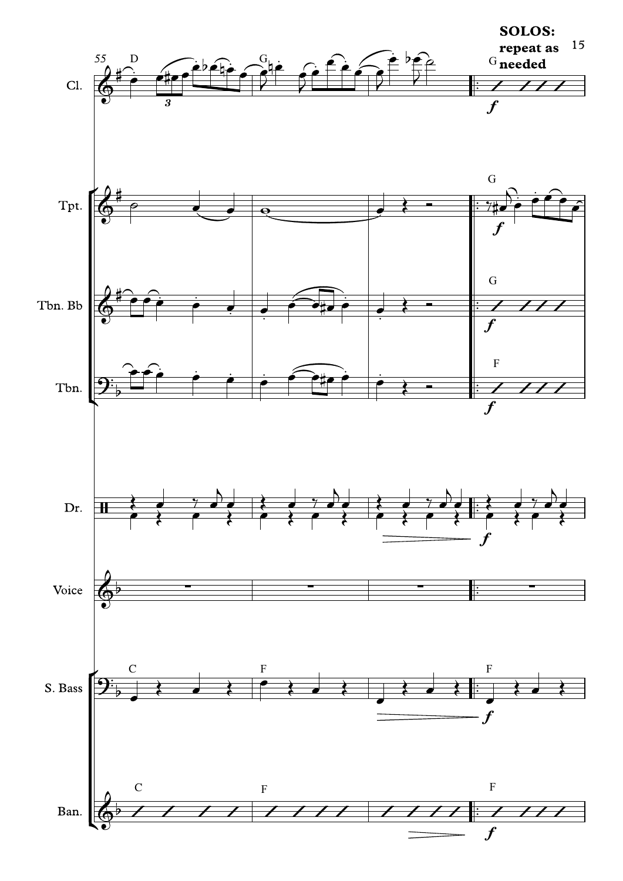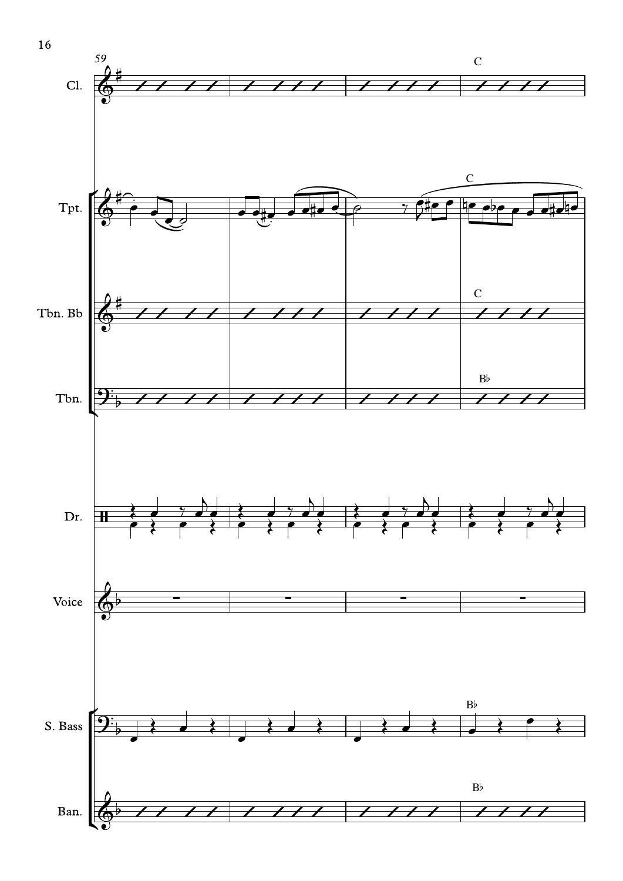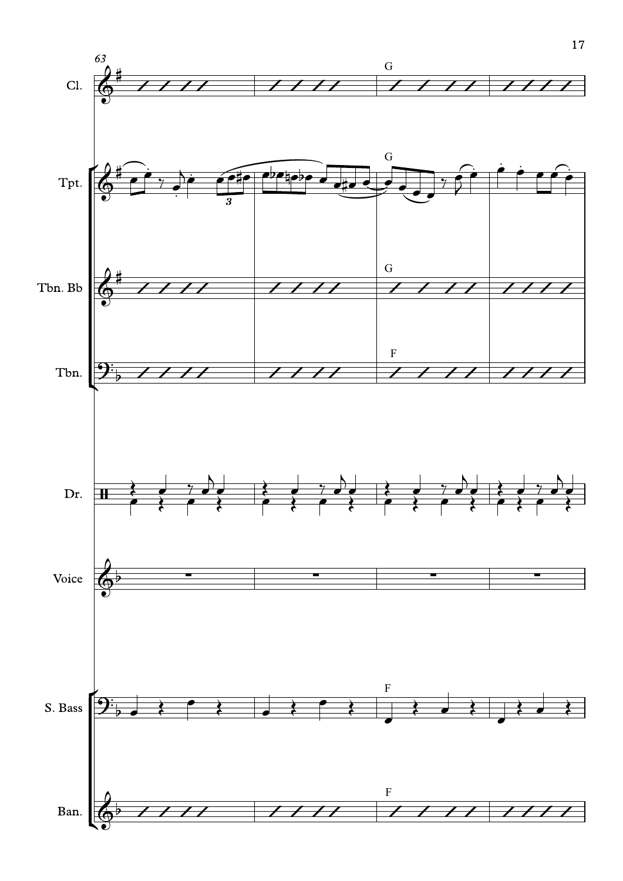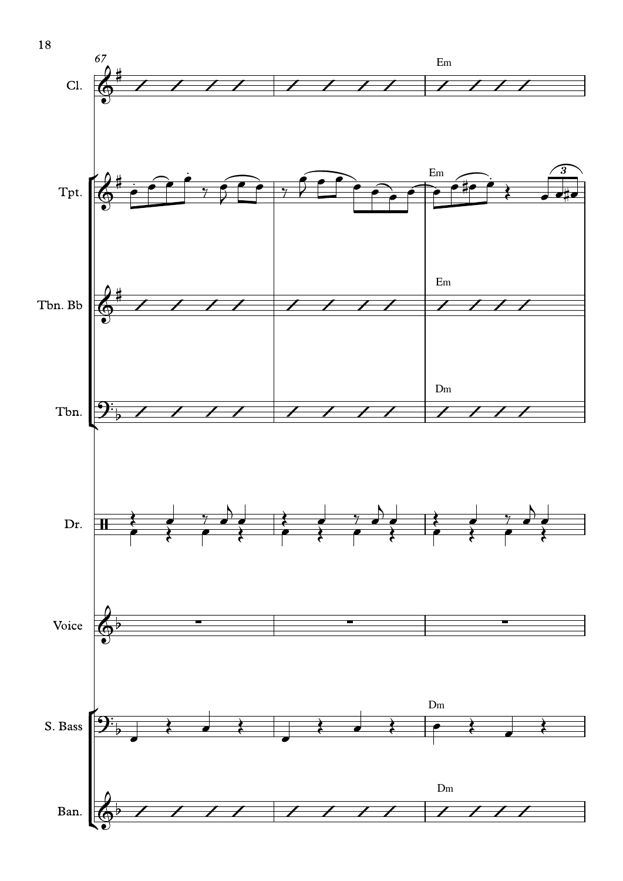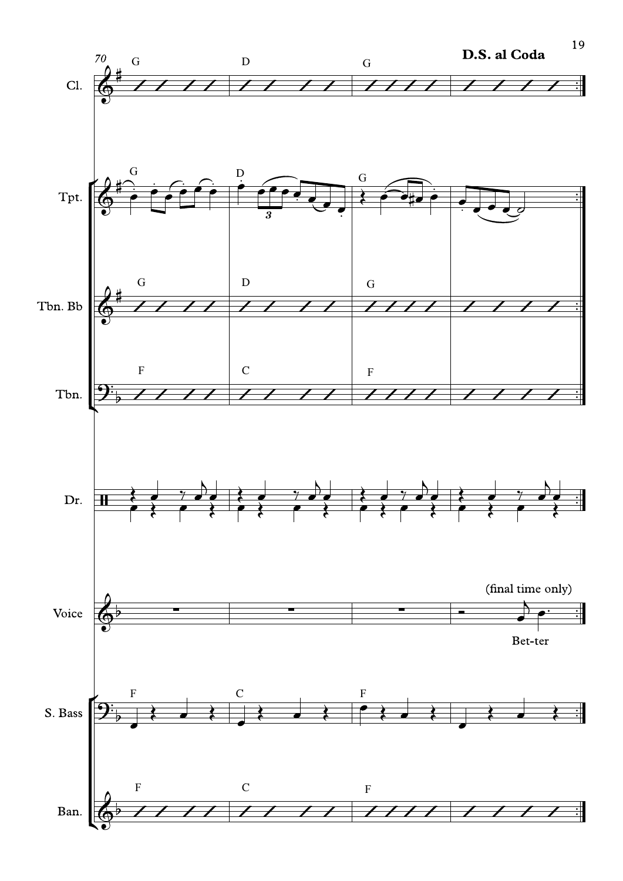